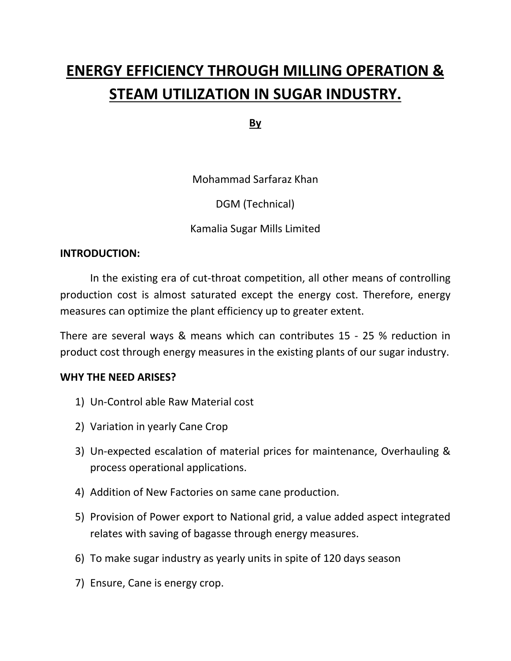# **ENERGY EFFICIENCY THROUGH MILLING OPERATION & STEAM UTILIZATION IN SUGAR INDUSTRY.**

**By**

Mohammad Sarfaraz Khan

DGM (Technical)

Kamalia Sugar Mills Limited

#### **INTRODUCTION:**

In the existing era of cut-throat competition, all other means of controlling production cost is almost saturated except the energy cost. Therefore, energy measures can optimize the plant efficiency up to greater extent.

There are several ways & means which can contributes 15 - 25 % reduction in product cost through energy measures in the existing plants of our sugar industry.

#### **WHY THE NEED ARISES?**

- 1) Un-Control able Raw Material cost
- 2) Variation in yearly Cane Crop
- 3) Un-expected escalation of material prices for maintenance, Overhauling & process operational applications.
- 4) Addition of New Factories on same cane production.
- 5) Provision of Power export to National grid, a value added aspect integrated relates with saving of bagasse through energy measures.
- 6) To make sugar industry as yearly units in spite of 120 days season
- 7) Ensure, Cane is energy crop.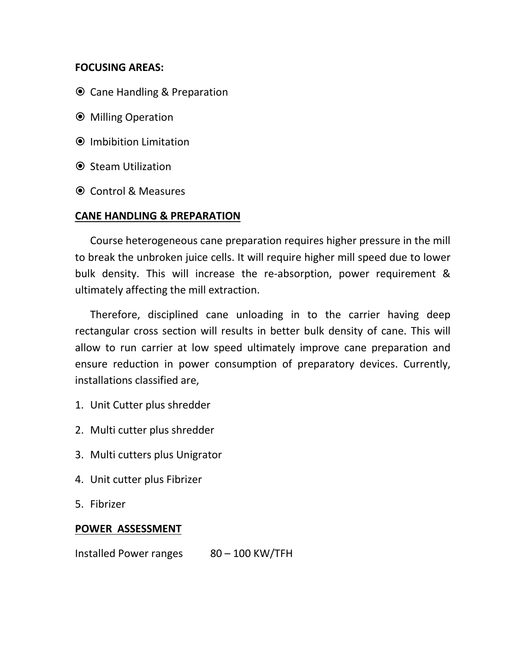#### **FOCUSING AREAS:**

- **⊙** Cane Handling & Preparation
- Milling Operation
- Imbibition Limitation
- **■** Steam Utilization
- Control & Measures

#### **CANE HANDLING & PREPARATION**

Course heterogeneous cane preparation requires higher pressure in the mill to break the unbroken juice cells. It will require higher mill speed due to lower bulk density. This will increase the re-absorption, power requirement & ultimately affecting the mill extraction.

Therefore, disciplined cane unloading in to the carrier having deep rectangular cross section will results in better bulk density of cane. This will allow to run carrier at low speed ultimately improve cane preparation and ensure reduction in power consumption of preparatory devices. Currently, installations classified are,

- 1. Unit Cutter plus shredder
- 2. Multi cutter plus shredder
- 3. Multi cutters plus Unigrator
- 4. Unit cutter plus Fibrizer
- 5. Fibrizer

#### **POWER ASSESSMENT**

Installed Power ranges 80 – 100 KW/TFH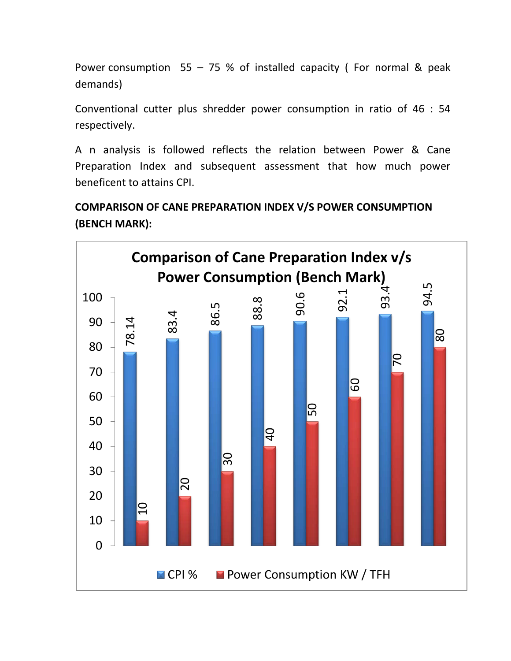Power consumption  $55 - 75$  % of installed capacity (For normal & peak demands)

Conventional cutter plus shredder power consumption in ratio of 46 : 54 respectively.

A n analysis is followed reflects the relation between Power & Cane Preparation Index and subsequent assessment that how much power beneficent to attains CPI.

## **COMPARISON OF CANE PREPARATION INDEX V/S POWER CONSUMPTION (BENCH MARK):**

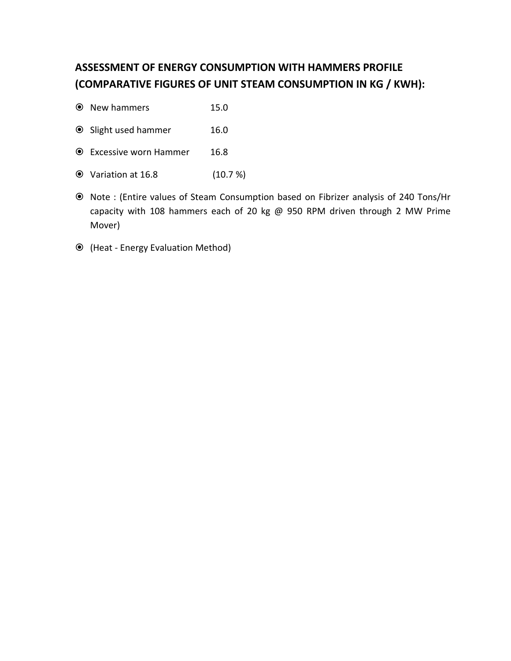## **ASSESSMENT OF ENERGY CONSUMPTION WITH HAMMERS PROFILE (COMPARATIVE FIGURES OF UNIT STEAM CONSUMPTION IN KG / KWH):**

- New hammers 15.0
- Slight used hammer 16.0
- Excessive worn Hammer 16.8
- Variation at 16.8 (10.7 %)
- Note : (Entire values of Steam Consumption based on Fibrizer analysis of 240 Tons/Hr capacity with 108 hammers each of 20 kg @ 950 RPM driven through 2 MW Prime Mover)
- (Heat Energy Evaluation Method)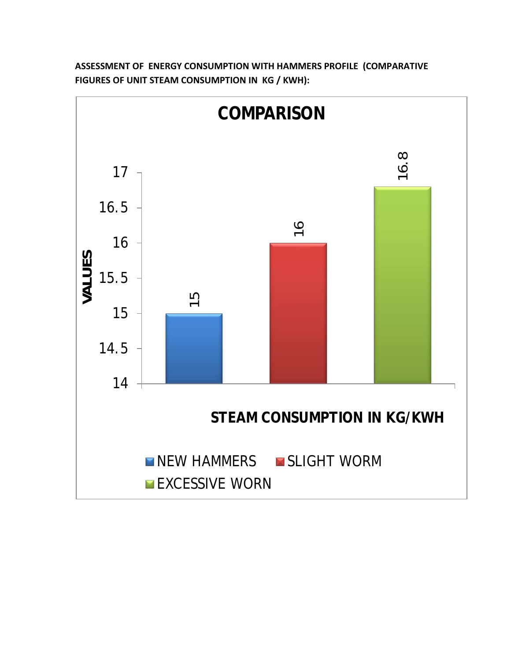

**ASSESSMENT OF ENERGY CONSUMPTION WITH HAMMERS PROFILE (COMPARATIVE FIGURES OF UNIT STEAM CONSUMPTION IN KG / KWH):**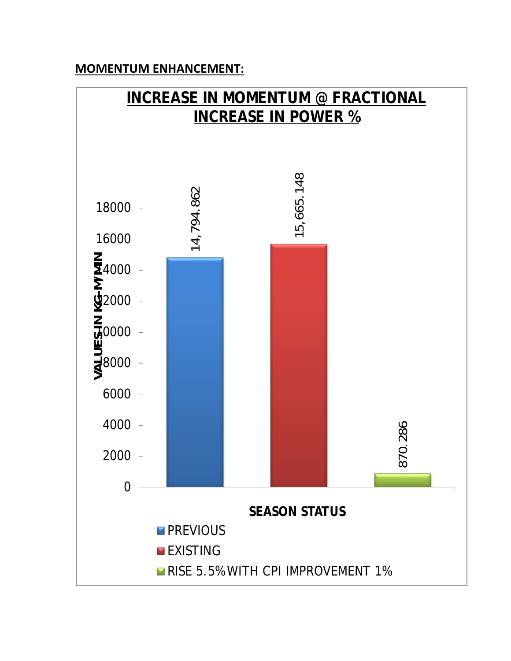## **MOMENTUM ENHANCEMENT:**

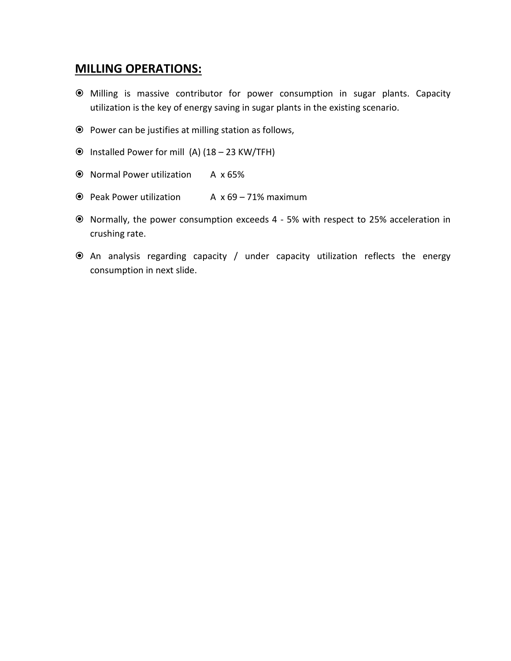#### **MILLING OPERATIONS:**

- Milling is massive contributor for power consumption in sugar plants. Capacity utilization is the key of energy saving in sugar plants in the existing scenario.
- Power can be justifies at milling station as follows,
- $\odot$  Installed Power for mill (A) (18 23 KW/TFH)
- Normal Power utilization A x 65%
- $\odot$  Peak Power utilization A x 69 71% maximum
- Normally, the power consumption exceeds 4 5% with respect to 25% acceleration in crushing rate.
- An analysis regarding capacity / under capacity utilization reflects the energy consumption in next slide.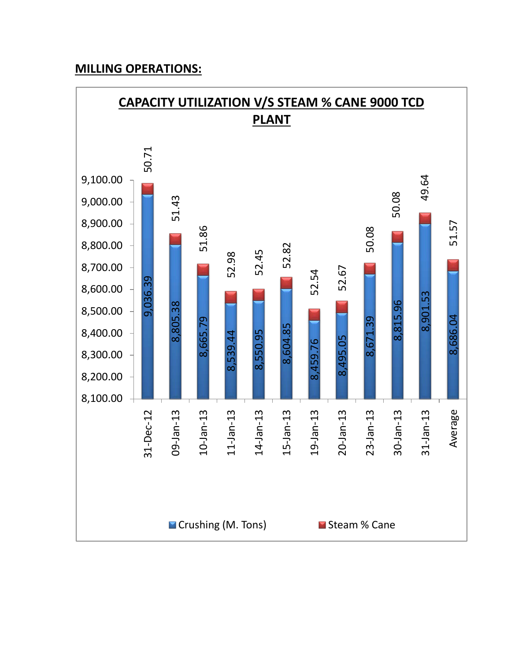## **MILLING OPERATIONS:**

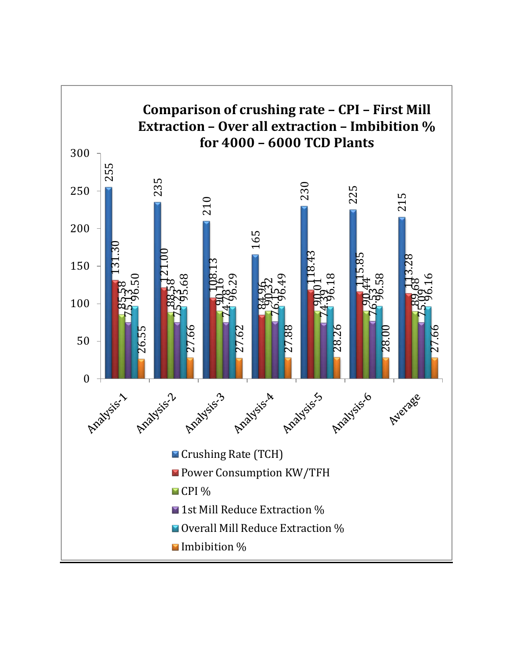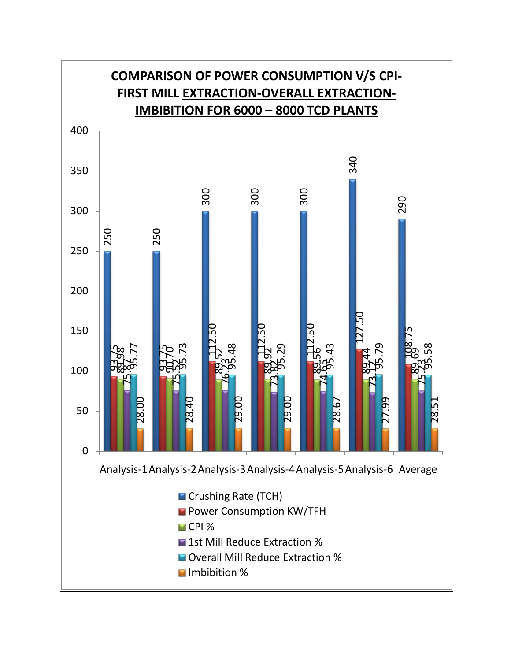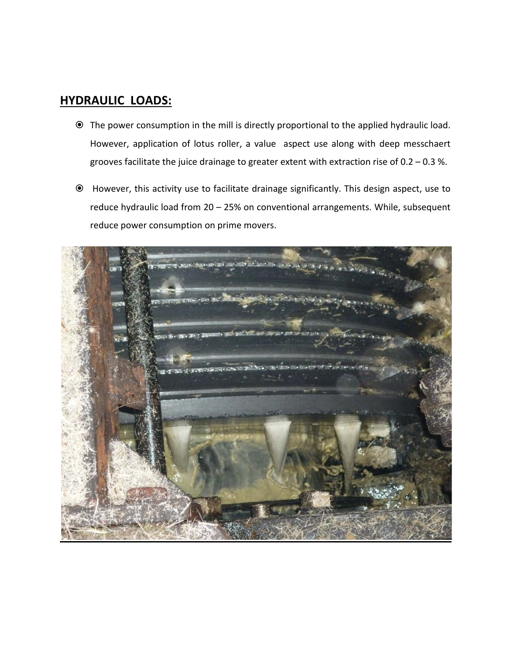#### **HYDRAULIC LOADS:**

- The power consumption in the mill is directly proportional to the applied hydraulic load. However, application of lotus roller, a value aspect use along with deep messchaert grooves facilitate the juice drainage to greater extent with extraction rise of 0.2 – 0.3 %.
- However, this activity use to facilitate drainage significantly. This design aspect, use to reduce hydraulic load from 20 – 25% on conventional arrangements. While, subsequent reduce power consumption on prime movers.

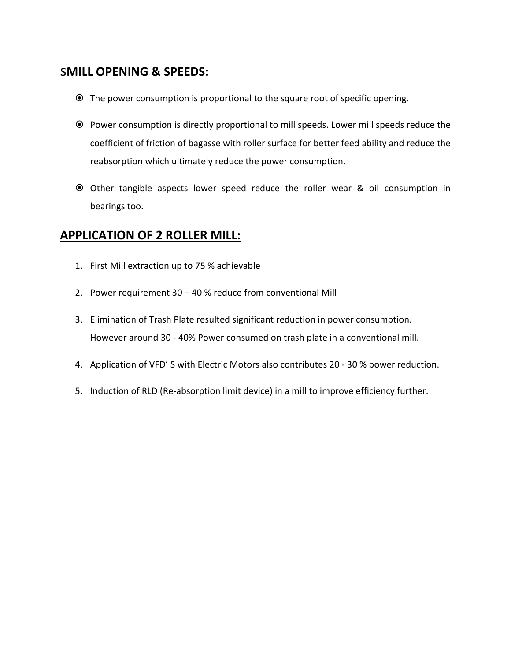## s**MILL OPENING & SPEEDS:**

- The power consumption is proportional to the square root of specific opening.
- Power consumption is directly proportional to mill speeds. Lower mill speeds reduce the coefficient of friction of bagasse with roller surface for better feed ability and reduce the reabsorption which ultimately reduce the power consumption.
- Other tangible aspects lower speed reduce the roller wear & oil consumption in bearings too.

## **APPLICATION OF 2 ROLLER MILL:**

- 1. First Mill extraction up to 75 % achievable
- 2. Power requirement 30 40 % reduce from conventional Mill
- 3. Elimination of Trash Plate resulted significant reduction in power consumption. However around 30 - 40% Power consumed on trash plate in a conventional mill.
- 4. Application of VFD' S with Electric Motors also contributes 20 30 % power reduction.
- 5. Induction of RLD (Re-absorption limit device) in a mill to improve efficiency further.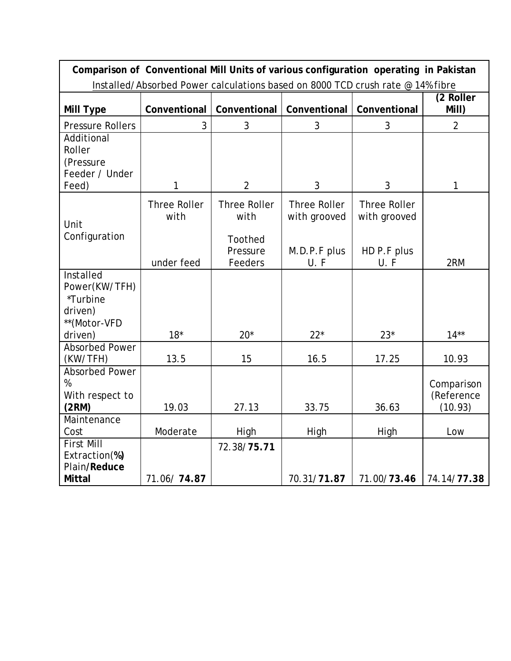| Comparison of Conventional Mill Units of various configuration operating in Pakistan |                                           |                                                               |                                                             |                                                           |                                     |  |  |  |
|--------------------------------------------------------------------------------------|-------------------------------------------|---------------------------------------------------------------|-------------------------------------------------------------|-----------------------------------------------------------|-------------------------------------|--|--|--|
| Installed/Absorbed Power calculations based on 8000 TCD crush rate @ 14% fibre       |                                           |                                                               |                                                             |                                                           |                                     |  |  |  |
| Mill Type                                                                            | Conventional                              | Conventional                                                  | Conventional                                                | Conventional                                              | (2 Roller<br>Mill)                  |  |  |  |
| <b>Pressure Rollers</b>                                                              | 3                                         | 3                                                             | 3                                                           | 3                                                         | $\overline{2}$                      |  |  |  |
| Additional<br>Roller<br>(Pressure<br>Feeder / Under<br>Feed)                         | 1                                         | $\overline{2}$                                                | 3                                                           | 3                                                         | 1                                   |  |  |  |
| Unit<br>Configuration                                                                | <b>Three Roller</b><br>with<br>under feed | <b>Three Roller</b><br>with<br>Toothed<br>Pressure<br>Feeders | <b>Three Roller</b><br>with grooved<br>M.D.P.F plus<br>U. F | <b>Three Roller</b><br>with grooved<br>HD P.F plus<br>U.F | 2RM                                 |  |  |  |
| Installed                                                                            |                                           |                                                               |                                                             |                                                           |                                     |  |  |  |
| Power(KW/TFH)                                                                        |                                           |                                                               |                                                             |                                                           |                                     |  |  |  |
| *Turbine                                                                             |                                           |                                                               |                                                             |                                                           |                                     |  |  |  |
| driven)                                                                              |                                           |                                                               |                                                             |                                                           |                                     |  |  |  |
| **(Motor-VFD                                                                         |                                           |                                                               |                                                             |                                                           |                                     |  |  |  |
| driven)                                                                              | $18*$                                     | $20*$                                                         | $22*$                                                       | $23*$                                                     | $14**$                              |  |  |  |
| <b>Absorbed Power</b><br>(KW/TFH)                                                    | 13.5                                      | 15                                                            | 16.5                                                        | 17.25                                                     | 10.93                               |  |  |  |
| <b>Absorbed Power</b><br>$\%$<br>With respect to<br>(2RM)                            | 19.03                                     | 27.13                                                         | 33.75                                                       | 36.63                                                     | Comparison<br>(Reference<br>(10.93) |  |  |  |
| Maintenance                                                                          |                                           |                                                               |                                                             |                                                           |                                     |  |  |  |
| Cost                                                                                 | Moderate                                  | High                                                          | High                                                        | High                                                      | Low                                 |  |  |  |
| <b>First Mill</b><br>Extraction(%)<br>Plain/Reduce                                   |                                           | 72.38/75.71                                                   |                                                             |                                                           |                                     |  |  |  |
| <b>Mittal</b>                                                                        | 71.06/74.87                               |                                                               | 70.31/71.87                                                 | 71.00/73.46                                               | 74.14/77.38                         |  |  |  |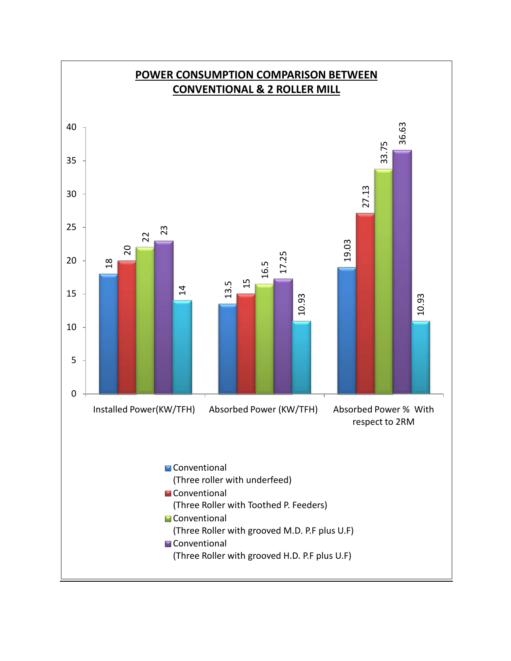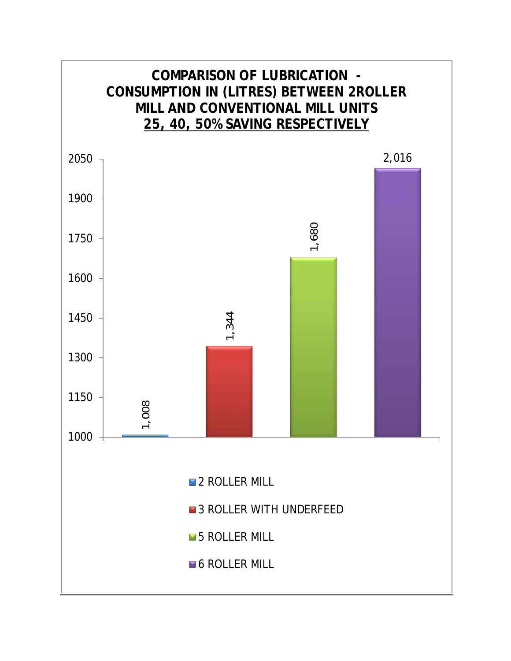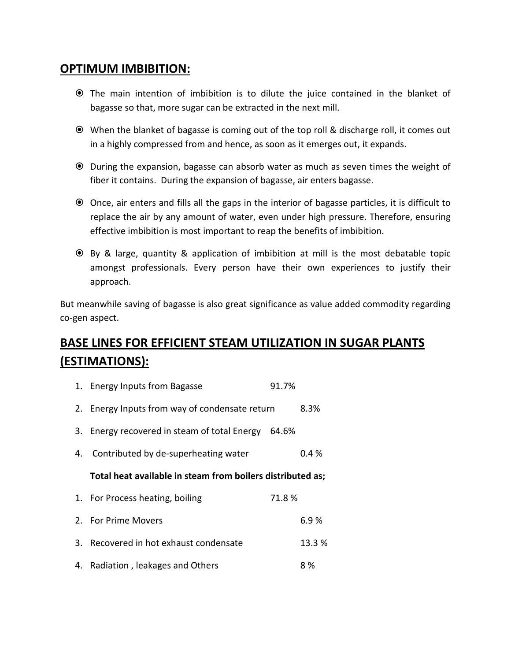### **OPTIMUM IMBIBITION:**

- The main intention of imbibition is to dilute the juice contained in the blanket of bagasse so that, more sugar can be extracted in the next mill.
- When the blanket of bagasse is coming out of the top roll & discharge roll, it comes out in a highly compressed from and hence, as soon as it emerges out, it expands.
- During the expansion, bagasse can absorb water as much as seven times the weight of fiber it contains. During the expansion of bagasse, air enters bagasse.
- Once, air enters and fills all the gaps in the interior of bagasse particles, it is difficult to replace the air by any amount of water, even under high pressure. Therefore, ensuring effective imbibition is most important to reap the benefits of imbibition.
- By & large, quantity & application of imbibition at mill is the most debatable topic amongst professionals. Every person have their own experiences to justify their approach.

But meanwhile saving of bagasse is also great significance as value added commodity regarding co-gen aspect.

## **BASE LINES FOR EFFICIENT STEAM UTILIZATION IN SUGAR PLANTS (ESTIMATIONS):**

|    | 1. Energy Inputs from Bagasse                              | 91.7% |        |
|----|------------------------------------------------------------|-------|--------|
|    | 2. Energy Inputs from way of condensate return             |       | 8.3%   |
|    | 3. Energy recovered in steam of total Energy 64.6%         |       |        |
| 4. | Contributed by de-superheating water                       |       | 0.4 %  |
|    | Total heat available in steam from boilers distributed as; |       |        |
|    | 1. For Process heating, boiling                            | 71.8% |        |
|    | 2. For Prime Movers                                        |       | 6.9%   |
| 3. | Recovered in hot exhaust condensate                        |       | 13.3 % |
|    | 4. Radiation, leakages and Others                          |       | 8 %    |